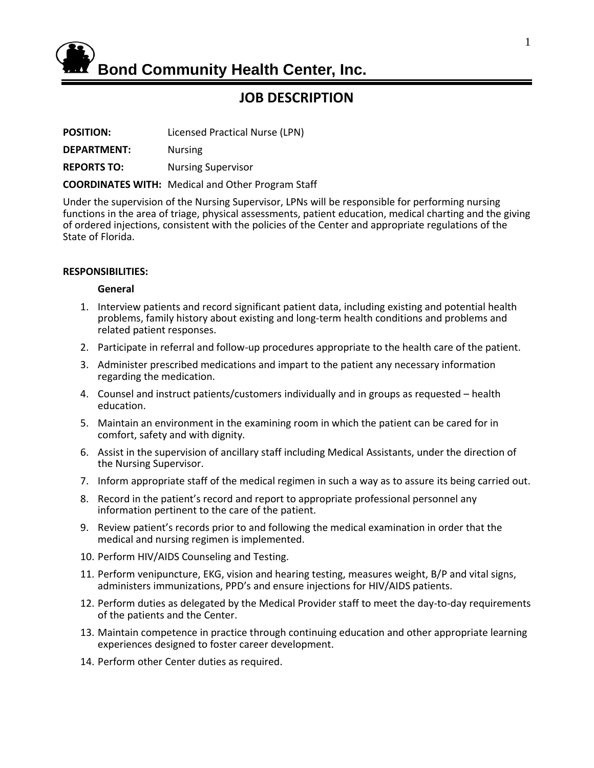

# **JOB DESCRIPTION**

**POSITION:** Licensed Practical Nurse (LPN)

**DEPARTMENT:** Nursing

**REPORTS TO:** Nursing Supervisor

**COORDINATES WITH:** Medical and Other Program Staff

Under the supervision of the Nursing Supervisor, LPNs will be responsible for performing nursing functions in the area of triage, physical assessments, patient education, medical charting and the giving of ordered injections, consistent with the policies of the Center and appropriate regulations of the State of Florida.

## **RESPONSIBILITIES:**

## **General**

- 1. Interview patients and record significant patient data, including existing and potential health problems, family history about existing and long-term health conditions and problems and related patient responses.
- 2. Participate in referral and follow-up procedures appropriate to the health care of the patient.
- 3. Administer prescribed medications and impart to the patient any necessary information regarding the medication.
- 4. Counsel and instruct patients/customers individually and in groups as requested health education.
- 5. Maintain an environment in the examining room in which the patient can be cared for in comfort, safety and with dignity.
- 6. Assist in the supervision of ancillary staff including Medical Assistants, under the direction of the Nursing Supervisor.
- 7. Inform appropriate staff of the medical regimen in such a way as to assure its being carried out.
- 8. Record in the patient's record and report to appropriate professional personnel any information pertinent to the care of the patient.
- 9. Review patient's records prior to and following the medical examination in order that the medical and nursing regimen is implemented.
- 10. Perform HIV/AIDS Counseling and Testing.
- 11. Perform venipuncture, EKG, vision and hearing testing, measures weight, B/P and vital signs, administers immunizations, PPD's and ensure injections for HIV/AIDS patients.
- 12. Perform duties as delegated by the Medical Provider staff to meet the day-to-day requirements of the patients and the Center.
- 13. Maintain competence in practice through continuing education and other appropriate learning experiences designed to foster career development.
- 14. Perform other Center duties as required.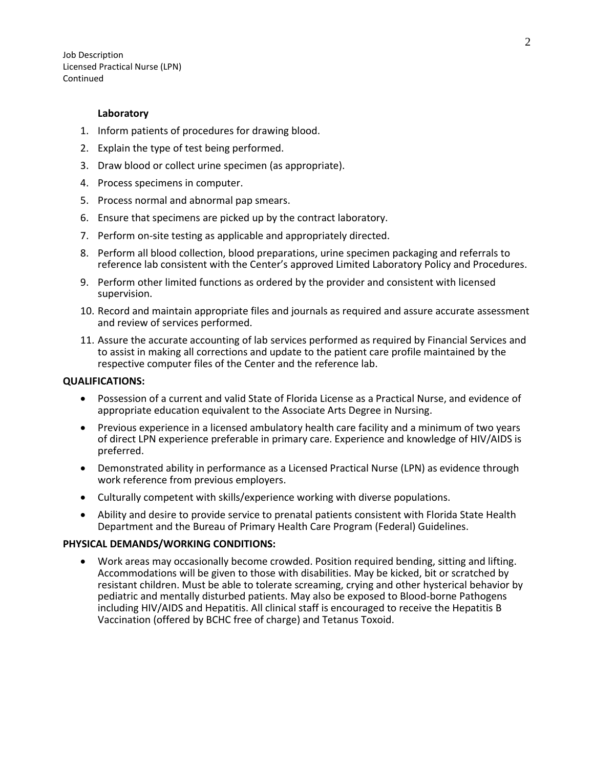Job Description Licensed Practical Nurse (LPN) Continued

#### **Laboratory**

- 1. Inform patients of procedures for drawing blood.
- 2. Explain the type of test being performed.
- 3. Draw blood or collect urine specimen (as appropriate).
- 4. Process specimens in computer.
- 5. Process normal and abnormal pap smears.
- 6. Ensure that specimens are picked up by the contract laboratory.
- 7. Perform on-site testing as applicable and appropriately directed.
- 8. Perform all blood collection, blood preparations, urine specimen packaging and referrals to reference lab consistent with the Center's approved Limited Laboratory Policy and Procedures.
- 9. Perform other limited functions as ordered by the provider and consistent with licensed supervision.
- 10. Record and maintain appropriate files and journals as required and assure accurate assessment and review of services performed.
- 11. Assure the accurate accounting of lab services performed as required by Financial Services and to assist in making all corrections and update to the patient care profile maintained by the respective computer files of the Center and the reference lab.

## **QUALIFICATIONS:**

- Possession of a current and valid State of Florida License as a Practical Nurse, and evidence of appropriate education equivalent to the Associate Arts Degree in Nursing.
- Previous experience in a licensed ambulatory health care facility and a minimum of two years of direct LPN experience preferable in primary care. Experience and knowledge of HIV/AIDS is preferred.
- Demonstrated ability in performance as a Licensed Practical Nurse (LPN) as evidence through work reference from previous employers.
- Culturally competent with skills/experience working with diverse populations.
- Ability and desire to provide service to prenatal patients consistent with Florida State Health Department and the Bureau of Primary Health Care Program (Federal) Guidelines.

## **PHYSICAL DEMANDS/WORKING CONDITIONS:**

• Work areas may occasionally become crowded. Position required bending, sitting and lifting. Accommodations will be given to those with disabilities. May be kicked, bit or scratched by resistant children. Must be able to tolerate screaming, crying and other hysterical behavior by pediatric and mentally disturbed patients. May also be exposed to Blood-borne Pathogens including HIV/AIDS and Hepatitis. All clinical staff is encouraged to receive the Hepatitis B Vaccination (offered by BCHC free of charge) and Tetanus Toxoid.